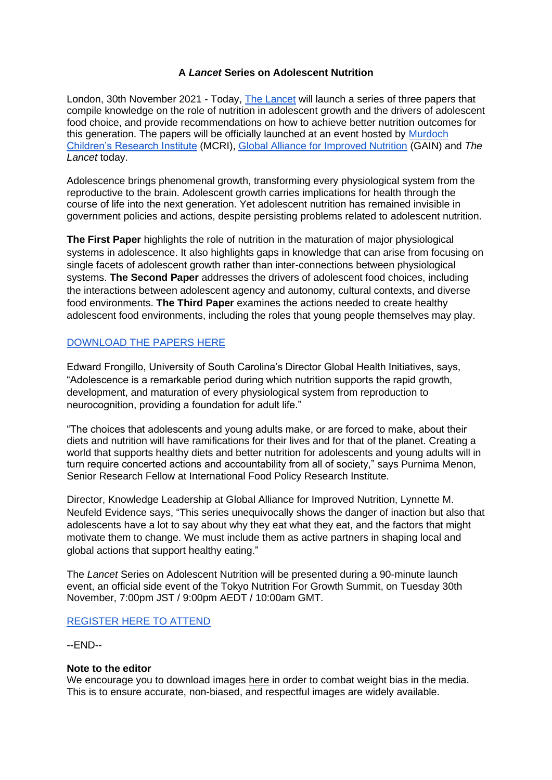### **A** *Lancet* **Series on Adolescent Nutrition**

London, 30th November 2021 - Today, [The Lancet](http://www.thelancet.com/) will launch a series of three papers that compile knowledge on the role of nutrition in adolescent growth and the drivers of adolescent food choice, and provide recommendations on how to achieve better nutrition outcomes for this generation. The papers will be officially launched at an event hosted by [Murdoch](http://www.mcri.edu.au/)  [Children's Research Institute](http://www.mcri.edu.au/) (MCRI), [Global Alliance for Improved Nutrition](http://www.gainhealth.org/) (GAIN) and *The Lancet* today.

Adolescence brings phenomenal growth, transforming every physiological system from the reproductive to the brain. Adolescent growth carries implications for health through the course of life into the next generation. Yet adolescent nutrition has remained invisible in government policies and actions, despite persisting problems related to adolescent nutrition.

**The First Paper** highlights the role of nutrition in the maturation of major physiological systems in adolescence. It also highlights gaps in knowledge that can arise from focusing on single facets of adolescent growth rather than inter-connections between physiological systems. **The Second Paper** addresses the drivers of adolescent food choices, including the interactions between adolescent agency and autonomy, cultural contexts, and diverse food environments. **The Third Paper** examines the actions needed to create healthy adolescent food environments, including the roles that young people themselves may play.

## [DOWNLOAD THE PAPERS HERE](https://www.thelancet.com/series/adolescent-nutrition)

Edward Frongillo, University of South Carolina's Director Global Health Initiatives, says, "Adolescence is a remarkable period during which nutrition supports the rapid growth, development, and maturation of every physiological system from reproduction to neurocognition, providing a foundation for adult life."

"The choices that adolescents and young adults make, or are forced to make, about their diets and nutrition will have ramifications for their lives and for that of the planet. Creating a world that supports healthy diets and better nutrition for adolescents and young adults will in turn require concerted actions and accountability from all of society," says Purnima Menon, Senior Research Fellow at International Food Policy Research Institute.

Director, Knowledge Leadership at Global Alliance for Improved Nutrition, Lynnette M. Neufeld Evidence says, "This series unequivocally shows the danger of inaction but also that adolescents have a lot to say about why they eat what they eat, and the factors that might motivate them to change. We must include them as active partners in shaping local and global actions that support healthy eating."

The *Lancet* Series on Adolescent Nutrition will be presented during a 90-minute launch event, an official side event of the Tokyo Nutrition For Growth Summit, on Tuesday 30th November, 7:00pm JST / 9:00pm AEDT / 10:00am GMT.

### [REGISTER HERE TO ATTEND](https://bit.ly/NourishOurFuture)

--END--

#### **Note to the editor**

We encourage you to download images [here](https://www.worldobesity.org/resources/image-bank) in order to combat weight bias in the media. This is to ensure accurate, non-biased, and respectful images are widely available.